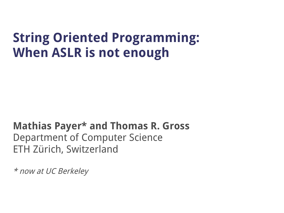#### **String Oriented Programming: When ASLR is not enough**

#### **Mathias Payer\* and Thomas R. Gross** Department of Computer Science ETH Zürich, Switzerland

\* now at UC Berkeley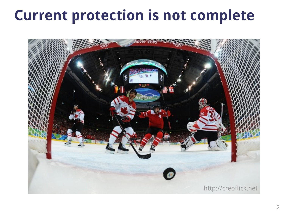### **Current protection is not complete**

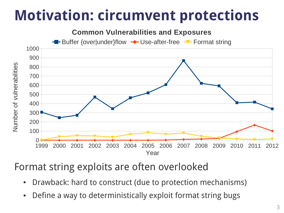## **Motivation: circumvent protections**



Format string exploits are often overlooked

- Drawback: hard to construct (due to protection mechanisms)
- Define a way to deterministically exploit format string bugs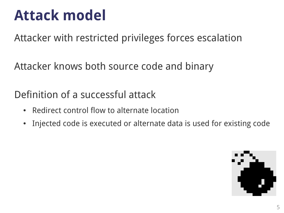### **Attack model**

Attacker with restricted privileges forces escalation

Attacker knows both source code and binary

Definition of a successful attack

- Redirect control flow to alternate location
- Injected code is executed or alternate data is used for existing code

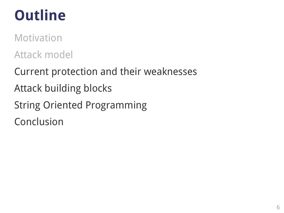## **Outline**

Motivation Attack model

Current protection and their weaknesses Attack building blocks String Oriented Programming Conclusion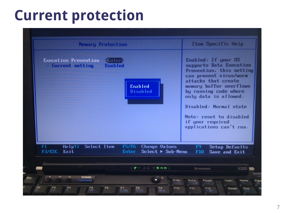### **Current protection**

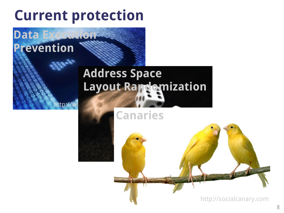### **Current protection**

**Data Exec** 

**Prevention**

ttp:/ $\overline{\phantom{a}}$ 

## **Address Space Layout Randomization**

#### **Canaries**

Ted Attitude Attitude Attitude Attitude Attitude Attitude Attitude Attitude Attitude Attitude Attitude Attitud

http://socialcanary.com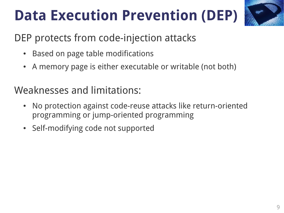# **Data Execution Prevention (DEP)**



#### DEP protects from code-injection attacks

- Based on page table modifications
- A memory page is either executable or writable (not both)

#### Weaknesses and limitations:

- No protection against code-reuse attacks like return-oriented programming or jump-oriented programming
- Self-modifying code not supported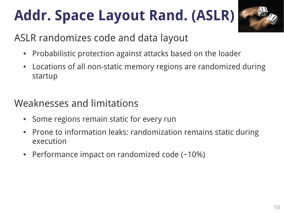# **Addr. Space Layout Rand. (ASLR)**



#### ASLR randomizes code and data layout

- Probabilistic protection against attacks based on the loader
- Locations of all non-static memory regions are randomized during startup

#### Weaknesses and limitations

- Some regions remain static for every run
- Prone to information leaks: randomization remains static during execution
- Performance impact on randomized code  $(-10%)$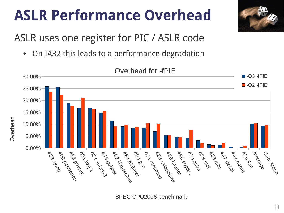### **ASLR Performance Overhead**



ASLR uses one register for PIC / ASLR code

• On IA32 this leads to a performance degradation



SPEC CPU2006 benchmark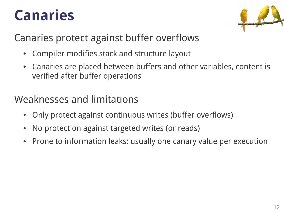### **Canaries**



#### Canaries protect against buffer overflows

- Compiler modifies stack and structure layout
- Canaries are placed between buffers and other variables, content is verified after buffer operations

#### Weaknesses and limitations

- Only protect against continuous writes (buffer overflows)
- No protection against targeted writes (or reads)
- Prone to information leaks: usually one canary value per execution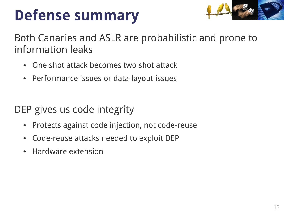## **Defense summary**



Both Canaries and ASLR are probabilistic and prone to information leaks

- One shot attack becomes two shot attack
- Performance issues or data-layout issues

DEP gives us code integrity

- Protects against code injection, not code-reuse
- Code-reuse attacks needed to exploit DEP
- **Hardware extension**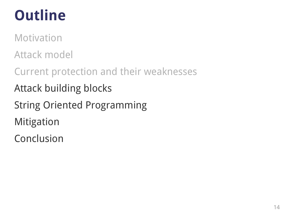## **Outline**

Motivation

Attack model

Current protection and their weaknesses

Attack building blocks

String Oriented Programming

Mitigation

Conclusion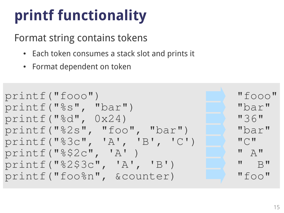# **printf functionality**

#### Format string contains tokens

- Each token consumes a stack slot and prints it
- Format dependent on token

```
printf("fooo") "fooo"
printf("%s", "bar") "bar"
printf("%d", 0x24) "36"
printf("%2s", "foo", "bar") "bar"
printf("%3c", 'A', 'B', 'C') "C"
printf("%$2c", "A") "A" ) " A"
printf("%2$3c", 'A', 'B') " B"
printf("foo%n", &counter) "foo"
```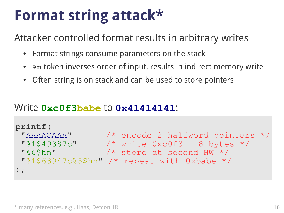### **Format string attack\***

Attacker controlled format results in arbitrary writes

- Format strings consume parameters on the stack
- $\bullet$  token inverses order of input, results in indirect memory write
- Often string is on stack and can be used to store pointers

#### Write **0xc0f3babe** to **0x41414141**:

```
● printf("AAAACAAA%1$49387c%6$hn%1$63947c%5$hn");
N^* write 0xc0f3 – 8 bytes */
 "%1$63947c%5$hn" /* repeat with 0xbabe */
 ● Prepare/inject malicious data
printf(
 "AAAACAAA" /* encode 2 halfword pointers */
 "%6$hn" /* store at second HW */
);
```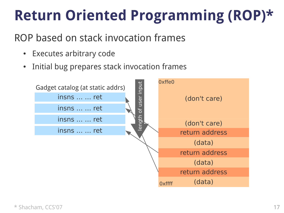## **Return Oriented Programming (ROP)\***

#### ROP based on stack invocation frames

- Executes arbitrary code
- Initial bug prepares stack invocation frames

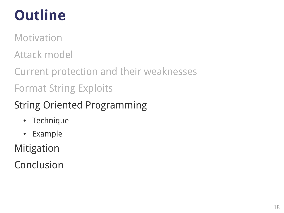## **Outline**

Motivation

Attack model

Current protection and their weaknesses Format String Exploits

String Oriented Programming

- Technique
- Example

Mitigation

Conclusion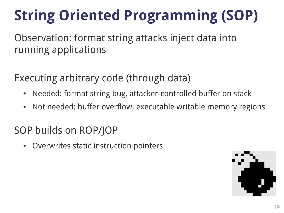# **String Oriented Programming (SOP)**

Observation: format string attacks inject data into running applications

Executing arbitrary code (through data)

- Needed: format string bug, attacker-controlled buffer on stack
- Not needed: buffer overflow, executable writable memory regions

#### SOP builds on ROP/JOP

• Overwrites static instruction pointers

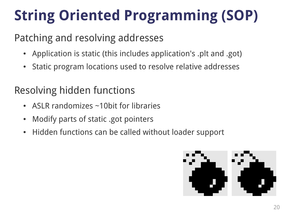# **String Oriented Programming (SOP)**

#### Patching and resolving addresses

- Application is static (this includes application's .plt and .got)
- Static program locations used to resolve relative addresses

#### Resolving hidden functions

- ASLR randomizes  $\sim$ 10bit for libraries
- Modify parts of static .got pointers
- Hidden functions can be called without loader support

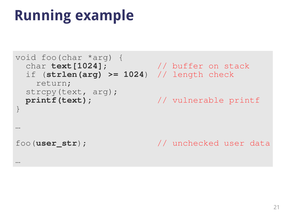## **Running example**

```
void foo(char *arg) {
  char text[1024]; // buffer on stack
  if (strlen(arg) >= 1024) // length check
    return;
  strcpy(text, arg);
  printf(text); // vulnerable printf
}
…
foo(user_str); // unchecked user data
…
```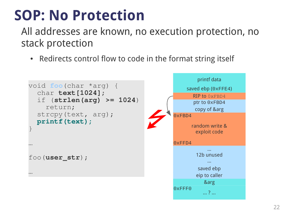### **SOP: No Protection**

All addresses are known, no execution protection, no stack protection

• Redirects control flow to code in the format string itself

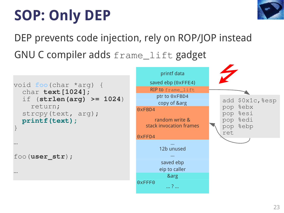# **SOP: Only DEP**



DEP prevents code injection, rely on ROP/JOP instead GNU C compiler adds frame\_lift gadget

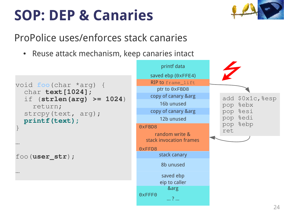## **SOP: DEP & Canaries**



#### ProPolice uses/enforces stack canaries

• Reuse attack mechanism, keep canaries intact

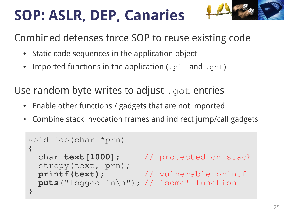# **SOP: ASLR, DEP, Canaries**

Combined defenses force SOP to reuse existing code

- Static code sequences in the application object
- Imported functions in the application (.  $p1t$  and .  $qot$ )

Use random byte-writes to adjust . got entries

- Enable other functions / gadgets that are not imported
- Combine stack invocation frames and indirect jump/call gadgets

```
void foo(char *prn)
\{ char text[1000]; // protected on stack
   strcpy(text, prn);
   printf(text); // vulnerable printf
  puts("logged in\n"); // 'some' function
}
```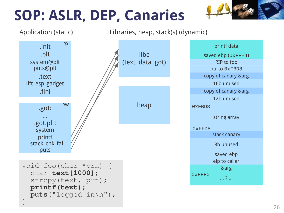# **SOP: ASLR, DEP, Canaries**





Application (static) Libraries, heap, stack(s) (dynamic)

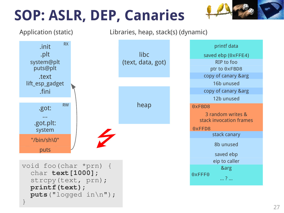# **SOP: ASLR, DEP, Canaries**





Application (static) Libraries, heap, stack(s) (dynamic)

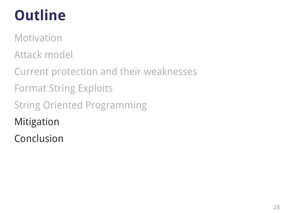## **Outline**

Motivation

Attack model

Current protection and their weaknesses Format String Exploits String Oriented Programming Mitigation

Conclusion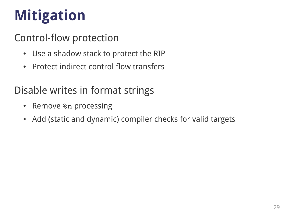# **Mitigation**

#### Control-flow protection

- Use a shadow stack to protect the RIP
- Protect indirect control flow transfers

#### Disable writes in format strings

- Remove **%n** processing
- Add (static and dynamic) compiler checks for valid targets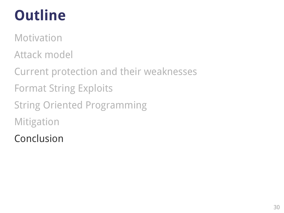## **Outline**

Motivation

Attack model

Current protection and their weaknesses Format String Exploits String Oriented Programming Mitigation

Conclusion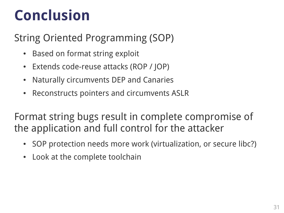## **Conclusion**

#### String Oriented Programming (SOP)

- Based on format string exploit
- Extends code-reuse attacks (ROP / JOP)
- Naturally circumvents DEP and Canaries
- Reconstructs pointers and circumvents ASLR

Format string bugs result in complete compromise of the application and full control for the attacker

- SOP protection needs more work (virtualization, or secure libc?)
- Look at the complete toolchain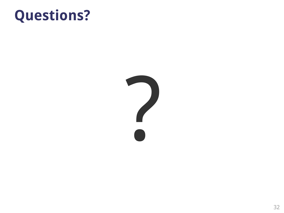### **Questions?**

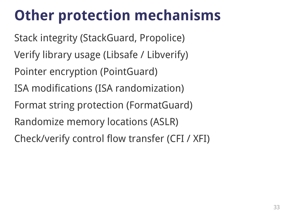## **Other protection mechanisms**

Stack integrity (StackGuard, Propolice) Verify library usage (Libsafe / Libverify) Pointer encryption (PointGuard) ISA modifications (ISA randomization) Format string protection (FormatGuard) Randomize memory locations (ASLR) Check/verify control flow transfer (CFI / XFI)